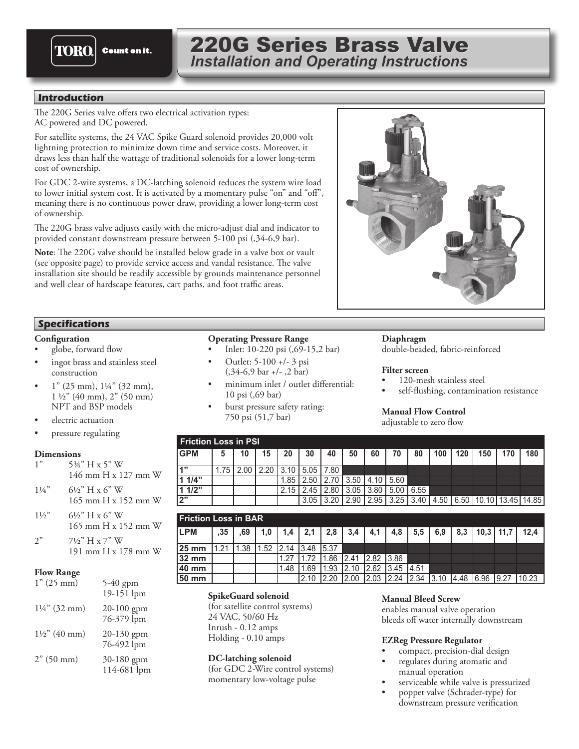

# 220G Series Brass Valve *Installation and Operating Instructions*

# **Introduction**

The 220G Series valve offers two electrical activation types: AC powered and DC powered.

For satellite systems, the 24 VAC Spike Guard solenoid provides 20,000 volt lightning protection to minimize down time and service costs. Moreover, it draws less than half the wattage of traditional solenoids for a lower long-term cost of ownership.

For GDC 2-wire systems, a DC-latching solenoid reduces the system wire load to lower initial system cost. It is activated by a momentary pulse "on" and "off", meaning there is no continuous power draw, providing a lower long-term cost of ownership.

The 220G brass valve adjusts easily with the micro-adjust dial and indicator to provided constant downstream pressure between 5-100 psi (,34-6,9 bar).

**Note**: The 220G valve should be installed below grade in a valve box or vault (see opposite page) to provide service access and vandal resistance. The valve installation site should be readily accessible by grounds maintenance personnel and well clear of hardscape features, cart paths, and foot traffic areas.

# **Specifications**

#### **Configuration**

- globe, forward flow
- ingot brass and stainless steel construction
- $1"$  (25 mm),  $1\frac{1}{4"}$  (32 mm),  $1\frac{1}{2}$ " (40 mm), 2" (50 mm) NPT and BSP models
- electric actuation
- pressure regulating

#### **Dimensions**

| 1" | 534" H x 5" W       |
|----|---------------------|
|    | 146 mm H x 127 mm W |

- $1\frac{1}{4}$ " 6<sup>1</sup>/<sub>2</sub>" H x 6" W 165 mm H x 152 mm W
- $1\frac{1}{2}$ " 6<sup>1</sup>/<sub>2</sub>" H x 6" W 165 mm H x 152 mm W
- $2"$  7½" H x 7" W 191 mm H x 178 mm W

#### **Flow Range**

| 1" (25 mm)               | 5-40 gpm<br>$19 - 151$ lpm |
|--------------------------|----------------------------|
| $1\frac{1}{4}$ " (32 mm) | 20-100 gpm<br>76-379 lpm   |
| $1\frac{1}{2}$ (40 mm)   | 20-130 gpm<br>76-492 lpm   |
| 2" (50 mm)               | 30-180 gpm<br>114-681 lpm  |

# **Operating Pressure Range**

- Inlet: 10-220 psi (,69-15,2 bar)
- Outlet: 5-100 +/- 3 psi (,34-6,9 bar +/- ,2 bar)
- minimum inlet / outlet differential: 10 psi (,69 bar)
- burst pressure safety rating: 750 psi (51,7 bar)



# **Diaphragm**

double-beaded, fabric-reinforced

#### **Filter screen**

- 120-mesh stainless steel
- self-flushing, contamination resistance

# **Manual Flow Control**

adjustable to zero flow

| <b>Friction Loss in PSI</b> |     |                   |      |      |                       |                                                |      |             |                      |                |     |     |     |                                     |     |
|-----------------------------|-----|-------------------|------|------|-----------------------|------------------------------------------------|------|-------------|----------------------|----------------|-----|-----|-----|-------------------------------------|-----|
| <b>GPM</b>                  | 5   | 10                | 15   | 20   | 30                    | 40                                             | 50   | 60          | 70                   | 80             | 100 | 120 | 150 | 170                                 | 180 |
| 4"                          | .75 | 2.00 <sub>1</sub> | 2.20 |      | $13.10$   5.05   7.80 |                                                |      |             |                      |                |     |     |     |                                     |     |
| 1 1/4"                      |     |                   |      | 1.85 |                       | $\vert$ 2.50 $\vert$ 2.70 $\vert$ 3.50 $\vert$ |      | 4.10   5.60 |                      |                |     |     |     |                                     |     |
| 1 1/2"                      |     |                   |      | 2.15 | l 2.45 l              | 2.80                                           | 3.05 |             | $3.80$   5.00   6.55 |                |     |     |     |                                     |     |
| l2"                         |     |                   |      |      | 3.05                  | 3.20                                           | 2.90 |             |                      | 2.95 3.25 3.40 |     |     |     | 4.50   6.50   10.10   13.45   14.85 |     |

| <b>Friction Loss in BAR</b> |       |     |     |       |             |      |       |       |       |       |       |      |       |               |       |
|-----------------------------|-------|-----|-----|-------|-------------|------|-------|-------|-------|-------|-------|------|-------|---------------|-------|
| <b>ILPM</b>                 | .35   | .69 | 1.0 |       | 2,1         | 2,8  | 3,4   | 4,1   | 4,8   | 5,5   | 6,9   | 8,3  |       | $10.3$   11.7 | 12.4  |
| <b>25 mm</b>                | 11.21 | .38 | .52 | 12.14 | 13.48 15.37 |      |       |       |       |       |       |      |       |               |       |
| 32 mm                       |       |     |     | .27   | .72         | .86  | 12.41 | 12.82 | 13.86 |       |       |      |       |               |       |
| l40 mm                      |       |     |     | 1.48  | .69         | .93  | 12.10 | 12.62 | 3.45  | 14.51 |       |      |       |               |       |
| 50 mm                       |       |     |     |       | 12.10       | 2.20 | 12.00 | 12.03 | 2.24  | 12.34 | 13.10 | 4.48 | 16.96 | 19.27         | 10.23 |

# **SpikeGuard solenoid**

(for satellite control systems) 24 VAC, 50/60 Hz Inrush - 0.12 amps Holding - 0.10 amps

# **DC-latching solenoid**

(for GDC 2-Wire control systems) momentary low-voltage pulse

# **Manual Bleed Screw**

enables manual valve operation bleeds off water internally downstream

# **EZReg Pressure Regulator**

- compact, precision-dial design • regulates during atomatic and manual operation
- serviceable while valve is pressurized
- poppet valve (Schrader-type) for downstream pressure verification